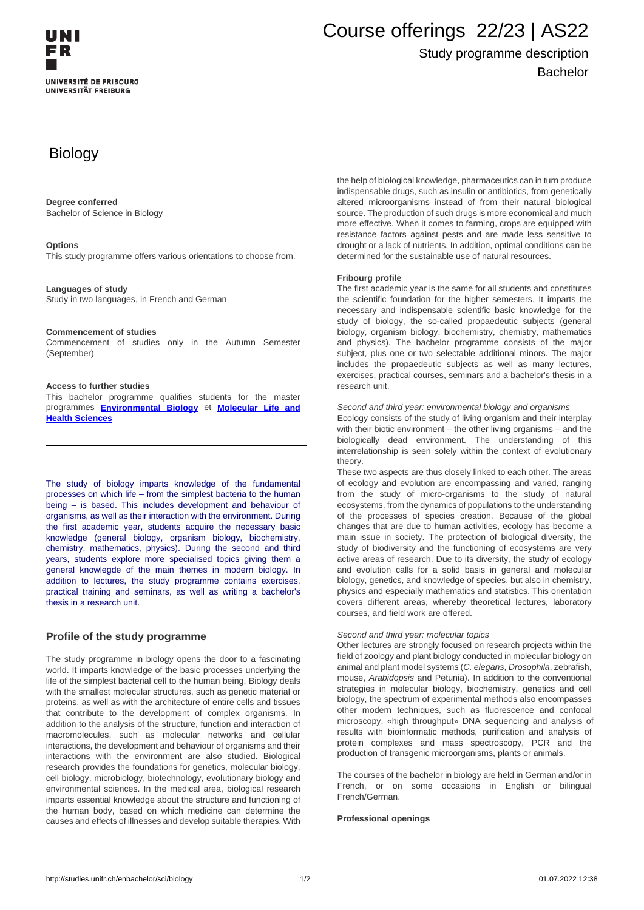# Course offerings 22/23 | AS22

# Study programme description Bachelor

# **Biology**

#### **Degree conferred**

Bachelor of Science in Biology

#### **Options**

This study programme offers various orientations to choose from.

#### **Languages of study**

Study in two languages, in French and German

#### **Commencement of studies**

Commencement of studies only in the Autumn Semester (September)

#### **Access to further studies**

This bachelor programme qualifies students for the master programmes **[Environmental Biology](http://studies.unifr.ch/en/master/sci/biology)** et **Molecular Life and Health Sciences**

The study of biology imparts knowledge of the fundamental processes on which life – from the simplest bacteria to the human being – is based. This includes development and behaviour of organisms, as well as their interaction with the environment. During the first academic year, students acquire the necessary basic knowledge (general biology, organism biology, biochemistry, chemistry, mathematics, physics). During the second and third years, students explore more specialised topics giving them a general knowlegde of the main themes in modern biology. In addition to lectures, the study programme contains exercises, practical training and seminars, as well as writing a bachelor's thesis in a research unit.

#### **Profile of the study programme**

The study programme in biology opens the door to a fascinating world. It imparts knowledge of the basic processes underlying the life of the simplest bacterial cell to the human being. Biology deals with the smallest molecular structures, such as genetic material or proteins, as well as with the architecture of entire cells and tissues that contribute to the development of complex organisms. In addition to the analysis of the structure, function and interaction of macromolecules, such as molecular networks and cellular interactions, the development and behaviour of organisms and their interactions with the environment are also studied. Biological research provides the foundations for genetics, molecular biology, cell biology, microbiology, biotechnology, evolutionary biology and environmental sciences. In the medical area, biological research imparts essential knowledge about the structure and functioning of the human body, based on which medicine can determine the causes and effects of illnesses and develop suitable therapies. With

the help of biological knowledge, pharmaceutics can in turn produce indispensable drugs, such as insulin or antibiotics, from genetically altered microorganisms instead of from their natural biological source. The production of such drugs is more economical and much more effective. When it comes to farming, crops are equipped with resistance factors against pests and are made less sensitive to drought or a lack of nutrients. In addition, optimal conditions can be determined for the sustainable use of natural resources.

#### **Fribourg profile**

The first academic year is the same for all students and constitutes the scientific foundation for the higher semesters. It imparts the necessary and indispensable scientific basic knowledge for the study of biology, the so-called propaedeutic subjects (general biology, organism biology, biochemistry, chemistry, mathematics and physics). The bachelor programme consists of the major subject, plus one or two selectable additional minors. The major includes the propaedeutic subjects as well as many lectures, exercises, practical courses, seminars and a bachelor's thesis in a research unit.

Second and third year: environmental biology and organisms

Ecology consists of the study of living organism and their interplay with their biotic environment – the other living organisms – and the biologically dead environment. The understanding of this interrelationship is seen solely within the context of evolutionary theory.

These two aspects are thus closely linked to each other. The areas of ecology and evolution are encompassing and varied, ranging from the study of micro-organisms to the study of natural ecosystems, from the dynamics of populations to the understanding of the processes of species creation. Because of the global changes that are due to human activities, ecology has become a main issue in society. The protection of biological diversity, the study of biodiversity and the functioning of ecosystems are very active areas of research. Due to its diversity, the study of ecology and evolution calls for a solid basis in general and molecular biology, genetics, and knowledge of species, but also in chemistry, physics and especially mathematics and statistics. This orientation covers different areas, whereby theoretical lectures, laboratory courses, and field work are offered.

#### Second and third year: molecular topics

Other lectures are strongly focused on research projects within the field of zoology and plant biology conducted in molecular biology on animal and plant model systems (C. elegans, Drosophila, zebrafish, mouse, Arabidopsis and Petunia). In addition to the conventional strategies in molecular biology, biochemistry, genetics and cell biology, the spectrum of experimental methods also encompasses other modern techniques, such as fluorescence and confocal microscopy, «high throughput» DNA sequencing and analysis of results with bioinformatic methods, purification and analysis of protein complexes and mass spectroscopy, PCR and the production of transgenic microorganisms, plants or animals.

The courses of the bachelor in biology are held in German and/or in French, or on some occasions in English or bilingual French/German.

#### **Professional openings**